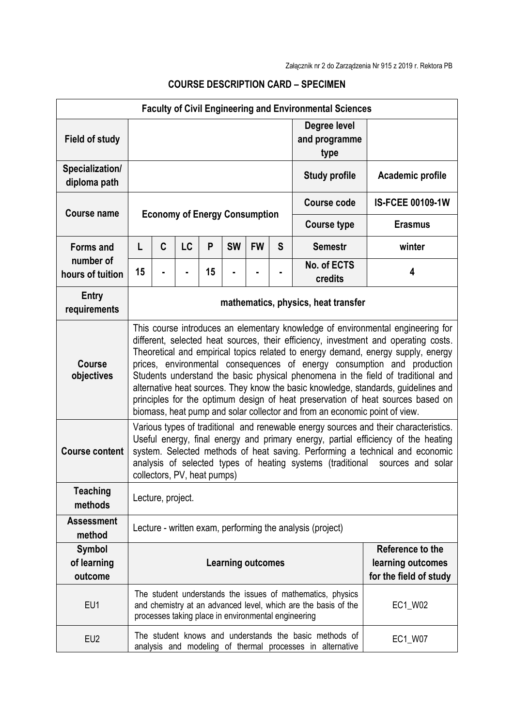| <b>Faculty of Civil Engineering and Environmental Sciences</b> |                                                                                                                                                                                                                                                                                                                                                                                                                                                                                                                                                                                                                                                                                  |   |    |    |           |           |                                       |                        |                         |
|----------------------------------------------------------------|----------------------------------------------------------------------------------------------------------------------------------------------------------------------------------------------------------------------------------------------------------------------------------------------------------------------------------------------------------------------------------------------------------------------------------------------------------------------------------------------------------------------------------------------------------------------------------------------------------------------------------------------------------------------------------|---|----|----|-----------|-----------|---------------------------------------|------------------------|-------------------------|
| <b>Field of study</b>                                          |                                                                                                                                                                                                                                                                                                                                                                                                                                                                                                                                                                                                                                                                                  |   |    |    |           |           | Degree level<br>and programme<br>type |                        |                         |
| Specialization/<br>diploma path                                | <b>Study profile</b>                                                                                                                                                                                                                                                                                                                                                                                                                                                                                                                                                                                                                                                             |   |    |    |           |           |                                       | Academic profile       |                         |
| <b>Course name</b>                                             | <b>Economy of Energy Consumption</b>                                                                                                                                                                                                                                                                                                                                                                                                                                                                                                                                                                                                                                             |   |    |    |           |           |                                       | Course code            | <b>IS-FCEE 00109-1W</b> |
|                                                                |                                                                                                                                                                                                                                                                                                                                                                                                                                                                                                                                                                                                                                                                                  |   |    |    |           |           | <b>Course type</b>                    | <b>Erasmus</b>         |                         |
| <b>Forms and</b>                                               | L                                                                                                                                                                                                                                                                                                                                                                                                                                                                                                                                                                                                                                                                                | C | LC | P  | <b>SW</b> | <b>FW</b> | S                                     | <b>Semestr</b>         | winter                  |
| number of<br>hours of tuition                                  | 15                                                                                                                                                                                                                                                                                                                                                                                                                                                                                                                                                                                                                                                                               |   |    | 15 |           |           |                                       | No. of ECTS<br>credits | 4                       |
| Entry<br>requirements                                          | mathematics, physics, heat transfer                                                                                                                                                                                                                                                                                                                                                                                                                                                                                                                                                                                                                                              |   |    |    |           |           |                                       |                        |                         |
| <b>Course</b><br>objectives                                    | This course introduces an elementary knowledge of environmental engineering for<br>different, selected heat sources, their efficiency, investment and operating costs.<br>Theoretical and empirical topics related to energy demand, energy supply, energy<br>prices, environmental consequences of energy consumption and production<br>Students understand the basic physical phenomena in the field of traditional and<br>alternative heat sources. They know the basic knowledge, standards, guidelines and<br>principles for the optimum design of heat preservation of heat sources based on<br>biomass, heat pump and solar collector and from an economic point of view. |   |    |    |           |           |                                       |                        |                         |
| <b>Course content</b>                                          | Various types of traditional and renewable energy sources and their characteristics.<br>Useful energy, final energy and primary energy, partial efficiency of the heating<br>system. Selected methods of heat saving. Performing a technical and economic<br>analysis of selected types of heating systems (traditional sources and solar<br>collectors, PV, heat pumps)                                                                                                                                                                                                                                                                                                         |   |    |    |           |           |                                       |                        |                         |
| <b>Teaching</b><br>methods                                     | Lecture, project.                                                                                                                                                                                                                                                                                                                                                                                                                                                                                                                                                                                                                                                                |   |    |    |           |           |                                       |                        |                         |
| <b>Assessment</b><br>method                                    | Lecture - written exam, performing the analysis (project)                                                                                                                                                                                                                                                                                                                                                                                                                                                                                                                                                                                                                        |   |    |    |           |           |                                       |                        |                         |
| <b>Symbol</b>                                                  | Reference to the<br><b>Learning outcomes</b><br>learning outcomes                                                                                                                                                                                                                                                                                                                                                                                                                                                                                                                                                                                                                |   |    |    |           |           |                                       |                        |                         |
| of learning                                                    |                                                                                                                                                                                                                                                                                                                                                                                                                                                                                                                                                                                                                                                                                  |   |    |    |           |           |                                       |                        |                         |
| outcome                                                        |                                                                                                                                                                                                                                                                                                                                                                                                                                                                                                                                                                                                                                                                                  |   |    |    |           |           |                                       |                        | for the field of study  |
| EU1                                                            | The student understands the issues of mathematics, physics<br>EC1_W02<br>and chemistry at an advanced level, which are the basis of the<br>processes taking place in environmental engineering                                                                                                                                                                                                                                                                                                                                                                                                                                                                                   |   |    |    |           |           |                                       |                        |                         |
| EU <sub>2</sub>                                                | The student knows and understands the basic methods of<br>EC1_W07<br>analysis and modeling of thermal processes in alternative                                                                                                                                                                                                                                                                                                                                                                                                                                                                                                                                                   |   |    |    |           |           |                                       |                        |                         |

## **COURSE DESCRIPTION CARD – SPECIMEN**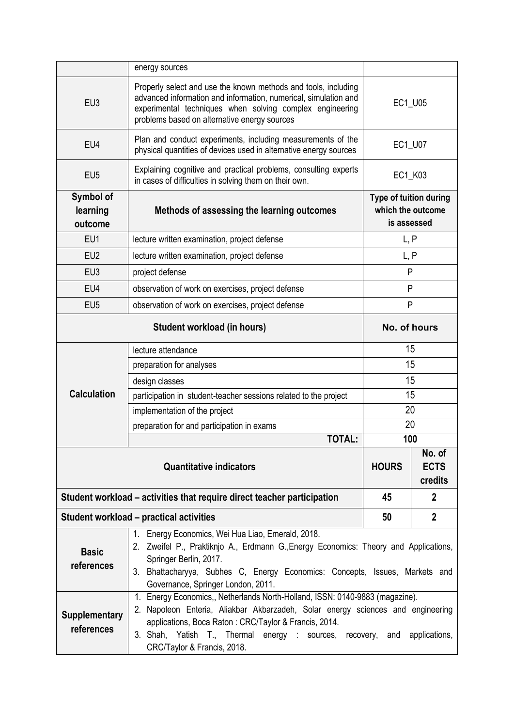|                                    | energy sources                                                                                                                                                                                                                                                                                                                          |                                                                   |              |  |  |  |
|------------------------------------|-----------------------------------------------------------------------------------------------------------------------------------------------------------------------------------------------------------------------------------------------------------------------------------------------------------------------------------------|-------------------------------------------------------------------|--------------|--|--|--|
|                                    |                                                                                                                                                                                                                                                                                                                                         |                                                                   |              |  |  |  |
| EU <sub>3</sub>                    | Properly select and use the known methods and tools, including<br>advanced information and information, numerical, simulation and<br>experimental techniques when solving complex engineering<br>problems based on alternative energy sources                                                                                           | EC1_U05                                                           |              |  |  |  |
| EU4                                | Plan and conduct experiments, including measurements of the<br>physical quantities of devices used in alternative energy sources                                                                                                                                                                                                        | EC1_U07                                                           |              |  |  |  |
| EU <sub>5</sub>                    | Explaining cognitive and practical problems, consulting experts<br>in cases of difficulties in solving them on their own.                                                                                                                                                                                                               | EC1_K03                                                           |              |  |  |  |
| Symbol of<br>learning<br>outcome   | Methods of assessing the learning outcomes                                                                                                                                                                                                                                                                                              | <b>Type of tuition during</b><br>which the outcome<br>is assessed |              |  |  |  |
| EU1                                | lecture written examination, project defense                                                                                                                                                                                                                                                                                            | L, P                                                              |              |  |  |  |
| EU2                                | lecture written examination, project defense                                                                                                                                                                                                                                                                                            | L, P                                                              |              |  |  |  |
| EU <sub>3</sub>                    | project defense                                                                                                                                                                                                                                                                                                                         | P                                                                 |              |  |  |  |
| EU4                                | observation of work on exercises, project defense                                                                                                                                                                                                                                                                                       | P                                                                 |              |  |  |  |
| EU <sub>5</sub>                    | observation of work on exercises, project defense                                                                                                                                                                                                                                                                                       | P                                                                 |              |  |  |  |
|                                    | No. of hours                                                                                                                                                                                                                                                                                                                            |                                                                   |              |  |  |  |
| <b>Calculation</b>                 | lecture attendance                                                                                                                                                                                                                                                                                                                      | 15                                                                |              |  |  |  |
|                                    | preparation for analyses                                                                                                                                                                                                                                                                                                                | 15                                                                |              |  |  |  |
|                                    | design classes                                                                                                                                                                                                                                                                                                                          | 15                                                                |              |  |  |  |
|                                    | participation in student-teacher sessions related to the project                                                                                                                                                                                                                                                                        | 15                                                                |              |  |  |  |
|                                    | implementation of the project                                                                                                                                                                                                                                                                                                           | 20                                                                |              |  |  |  |
|                                    | preparation for and participation in exams                                                                                                                                                                                                                                                                                              | 20                                                                |              |  |  |  |
|                                    | <b>TOTAL:</b>                                                                                                                                                                                                                                                                                                                           | 100                                                               |              |  |  |  |
|                                    | <b>HOURS</b>                                                                                                                                                                                                                                                                                                                            | No. of<br><b>ECTS</b><br>credits                                  |              |  |  |  |
|                                    | Student workload – activities that require direct teacher participation                                                                                                                                                                                                                                                                 | 45                                                                | $\mathbf{2}$ |  |  |  |
|                                    | Student workload - practical activities                                                                                                                                                                                                                                                                                                 | 50                                                                | $\mathbf{2}$ |  |  |  |
| <b>Basic</b><br>references         | Energy Economics, Wei Hua Liao, Emerald, 2018.<br>$1_{\cdot}$<br>2. Zweifel P., Praktiknjo A., Erdmann G., Energy Economics: Theory and Applications,<br>Springer Berlin, 2017.<br>3. Bhattacharyya, Subhes C, Energy Economics: Concepts, Issues, Markets and<br>Governance, Springer London, 2011.                                    |                                                                   |              |  |  |  |
| <b>Supplementary</b><br>references | 1. Energy Economics,, Netherlands North-Holland, ISSN: 0140-9883 (magazine).<br>2. Napoleon Enteria, Aliakbar Akbarzadeh, Solar energy sciences and engineering<br>applications, Boca Raton: CRC/Taylor & Francis, 2014.<br>3. Shah, Yatish T., Thermal energy : sources, recovery, and<br>applications,<br>CRC/Taylor & Francis, 2018. |                                                                   |              |  |  |  |